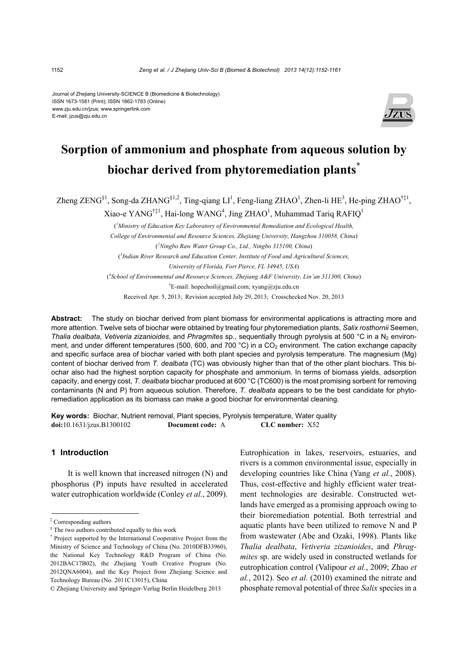#### Journal of Zhejiang University-SCIENCE B (Biomedicine & Biotechnology) ISSN 1673-1581 (Print); ISSN 1862-1783 (Online) www.zju.edu.cn/jzus; www.springerlink.com E-mail: jzus@zju.edu.cn



# **Sorption of ammonium and phosphate from aqueous solution by biochar derived from phytoremediation plants\***

Zheng ZENG<sup>§1</sup>, Song-da ZHANG<sup>§1,2</sup>, Ting-qiang LI<sup>1</sup>, Feng-liang ZHAO<sup>1</sup>, Zhen-li HE<sup>3</sup>, He-ping ZHAO<sup>†‡1</sup>,

Xiao-e YANG<sup>†‡1</sup>, Hai-long WANG<sup>4</sup>, Jing ZHAO<sup>1</sup>, Muhammad Tariq RAFIQ<sup>1</sup>

( *1 Ministry of Education Key Laboratory of Environmental Remediation and Ecological Health, College of Environmental and Resource Sciences, Zhejiang University, Hangzhou 310058, China*) ( *2 Ningbo Raw Water Group Co., Ltd., Ningbo 315100, China*) ( *3 Indian River Research and Education Center, Institute of Food and Agricultural Sciences, University of Florida, Fort Pierce, FL 34945, USA*) ( *4 School of Environmental and Resource Sciences, Zhejiang A&F University, Lin'an 311300, China*) † E-mail: hopechoil@gmail.com; xyang@zju.edu.cn

Received Apr. 5, 2013; Revision accepted July 29, 2013; Crosschecked Nov. 20, 2013

**Abstract:** The study on biochar derived from plant biomass for environmental applications is attracting more and more attention. Twelve sets of biochar were obtained by treating four phytoremediation plants, *Salix rosthornii* Seemen, *Thalia dealbata, Vetiveria zizanioides, and <i>Phragmites* sp., sequentially through pyrolysis at 500 °C in a N<sub>2</sub> environment, and under different temperatures (500, 600, and 700  $^{\circ}$ C) in a CO<sub>2</sub> environment. The cation exchange capacity and specific surface area of biochar varied with both plant species and pyrolysis temperature. The magnesium (Mg) content of biochar derived from *T. dealbata* (TC) was obviously higher than that of the other plant biochars. This biochar also had the highest sorption capacity for phosphate and ammonium. In terms of biomass yields, adsorption capacity, and energy cost, *T. dealbata* biochar produced at 600 °C (TC600) is the most promising sorbent for removing contaminants (N and P) from aqueous solution. Therefore, *T. dealbata* appears to be the best candidate for phytoremediation application as its biomass can make a good biochar for environmental cleaning.

**Key words:** Biochar, Nutrient removal, Plant species, Pyrolysis temperature, Water quality **doi:**10.1631/jzus.B1300102 **Document code:** A **CLC number:** X52

## **1 Introduction**

It is well known that increased nitrogen (N) and phosphorus (P) inputs have resulted in accelerated water eutrophication worldwide (Conley *et al.*, 2009).

Eutrophication in lakes, reservoirs, estuaries, and rivers is a common environmental issue, especially in developing countries like China (Yang *et al.*, 2008). Thus, cost-effective and highly efficient water treatment technologies are desirable. Constructed wetlands have emerged as a promising approach owing to their bioremediation potential. Both terrestrial and aquatic plants have been utilized to remove N and P from wastewater (Abe and Ozaki, 1998). Plants like *Thalia dealbata*, *Vetiveria zizanioides*, and *Phragmites* sp. are widely used in constructed wetlands for eutrophication control (Valipour *et al.*, 2009; Zhao *et al.*, 2012). Seo *et al.* (2010) examined the nitrate and phosphate removal potential of three *Salix* species in a

<sup>‡</sup> Corresponding authors

<sup>§</sup> The two authors contributed equally to this work

<sup>\*</sup> Project supported by the International Cooperative Project from the Ministry of Science and Technology of China (No. 2010DFB33960), the National Key Technology R&D Program of China (No. 2012BAC17B02), the Zhejiang Youth Creative Program (No. 2012QNA6004), and the Key Project from Zhejiang Science and Technology Bureau (No. 2011C13015), China

<sup>©</sup> Zhejiang University and Springer-Verlag Berlin Heidelberg 2013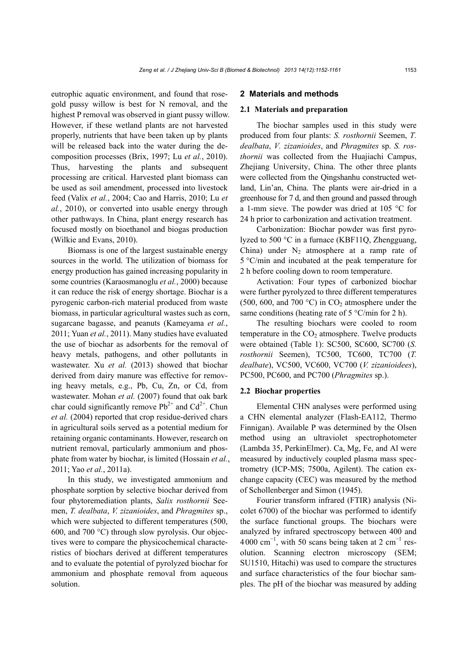eutrophic aquatic environment, and found that rosegold pussy willow is best for N removal, and the highest P removal was observed in giant pussy willow. However, if these wetland plants are not harvested properly, nutrients that have been taken up by plants will be released back into the water during the decomposition processes (Brix, 1997; Lu *et al.*, 2010). Thus, harvesting the plants and subsequent processing are critical. Harvested plant biomass can be used as soil amendment, processed into livestock feed (Valix *et al.*, 2004; Cao and Harris, 2010; Lu *et al.*, 2010), or converted into usable energy through other pathways. In China, plant energy research has focused mostly on bioethanol and biogas production (Wilkie and Evans, 2010).

Biomass is one of the largest sustainable energy sources in the world. The utilization of biomass for energy production has gained increasing popularity in some countries (Karaosmanoglu *et al.*, 2000) because it can reduce the risk of energy shortage. Biochar is a pyrogenic carbon-rich material produced from waste biomass, in particular agricultural wastes such as corn, sugarcane bagasse, and peanuts (Kameyama *et al.*, 2011; Yuan *et al.*, 2011). Many studies have evaluated the use of biochar as adsorbents for the removal of heavy metals, pathogens, and other pollutants in wastewater. Xu *et al.* (2013) showed that biochar derived from dairy manure was effective for removing heavy metals, e.g., Pb, Cu, Zn, or Cd, from wastewater. Mohan *et al.* (2007) found that oak bark char could significantly remove  $Pb^{2+}$  and  $Cd^{2+}$ . Chun *et al.* (2004) reported that crop residue-derived chars in agricultural soils served as a potential medium for retaining organic contaminants. However, research on nutrient removal, particularly ammonium and phosphate from water by biochar, is limited (Hossain *et al.*, 2011; Yao *et al.*, 2011a).

In this study, we investigated ammonium and phosphate sorption by selective biochar derived from four phytoremediation plants, *Salix rosthornii* Seemen, *T. dealbata*, *V. zizanioides*, and *Phragmites* sp., which were subjected to different temperatures (500, 600, and 700 °C) through slow pyrolysis. Our objectives were to compare the physicochemical characteristics of biochars derived at different temperatures and to evaluate the potential of pyrolyzed biochar for ammonium and phosphate removal from aqueous solution.

#### **2 Materials and methods**

#### **2.1 Materials and preparation**

The biochar samples used in this study were produced from four plants: *S. rosthornii* Seemen, *T. dealbata*, *V. zizanioides*, and *Phragmites* sp. *S. rosthornii* was collected from the Huajiachi Campus, Zhejiang University, China. The other three plants were collected from the Qingshanhu constructed wetland, Lin'an, China. The plants were air-dried in a greenhouse for 7 d, and then ground and passed through a 1-mm sieve. The powder was dried at 105 °C for 24 h prior to carbonization and activation treatment.

Carbonization: Biochar powder was first pyrolyzed to 500 °C in a furnace (KBF11Q, Zhengguang, China) under  $N_2$  atmosphere at a ramp rate of 5 °C/min and incubated at the peak temperature for 2 h before cooling down to room temperature.

Activation: Four types of carbonized biochar were further pyrolyzed to three different temperatures (500, 600, and 700 °C) in  $CO<sub>2</sub>$  atmosphere under the same conditions (heating rate of  $5^{\circ}$ C/min for 2 h).

The resulting biochars were cooled to room temperature in the  $CO<sub>2</sub>$  atmosphere. Twelve products were obtained (Table 1): SC500, SC600, SC700 (*S. rosthornii* Seemen), TC500, TC600, TC700 (*T. dealbate*), VC500, VC600, VC700 (*V. zizanioidees*), PC500, PC600, and PC700 (*Phragmites* sp.).

#### **2.2 Biochar properties**

Elemental CHN analyses were performed using a CHN elemental analyzer (Flash-EA112, Thermo Finnigan). Available P was determined by the Olsen method using an ultraviolet spectrophotometer (Lambda 35, PerkinElmer). Ca, Mg, Fe, and Al were measured by inductively coupled plasma mass spectrometry (ICP-MS; 7500a, Agilent). The cation exchange capacity (CEC) was measured by the method of Schollenberger and Simon (1945).

Fourier transform infrared (FTIR) analysis (Nicolet 6700) of the biochar was performed to identify the surface functional groups. The biochars were analyzed by infrared spectroscopy between 400 and  $4000 \text{ cm}^{-1}$ , with 50 scans being taken at 2 cm<sup>-1</sup> resolution. Scanning electron microscopy (SEM; SU1510, Hitachi) was used to compare the structures and surface characteristics of the four biochar samples. The pH of the biochar was measured by adding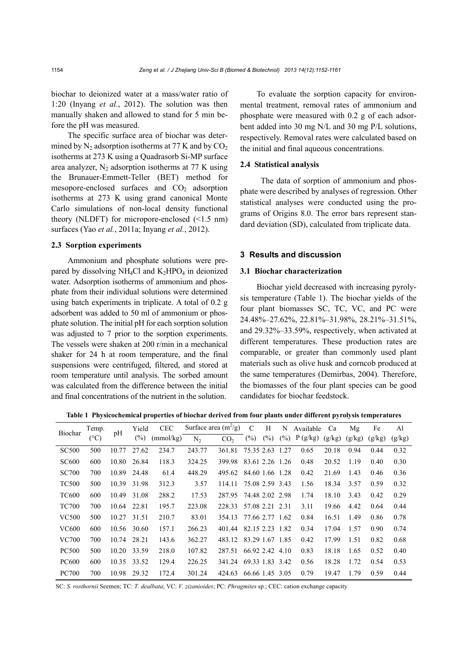biochar to deionized water at a mass/water ratio of 1:20 (Inyang *et al.*, 2012). The solution was then manually shaken and allowed to stand for 5 min before the pH was measured.

The specific surface area of biochar was determined by  $N_2$  adsorption isotherms at 77 K and by  $CO_2$ isotherms at 273 K using a Quadrasorb Si-MP surface area analyzer,  $N_2$  adsorption isotherms at 77 K using the Brunauer-Emmett-Teller (BET) method for mesopore-enclosed surfaces and  $CO<sub>2</sub>$  adsorption isotherms at 273 K using grand canonical Monte Carlo simulations of non-local density functional theory (NLDFT) for micropore-enclosed (<1.5 nm) surfaces (Yao *et al.*, 2011a; Inyang *et al.*, 2012).

### **2.3 Sorption experiments**

Ammonium and phosphate solutions were prepared by dissolving NH<sub>4</sub>Cl and  $K_2$ HPO<sub>4</sub> in deionized water. Adsorption isotherms of ammonium and phosphate from their individual solutions were determined using batch experiments in triplicate. A total of 0.2 g adsorbent was added to 50 ml of ammonium or phosphate solution. The initial pH for each sorption solution was adjusted to 7 prior to the sorption experiments. The vessels were shaken at 200 r/min in a mechanical shaker for 24 h at room temperature, and the final suspensions were centrifuged, filtered, and stored at room temperature until analysis. The sorbed amount was calculated from the difference between the initial and final concentrations of the nutrient in the solution.

To evaluate the sorption capacity for environmental treatment, removal rates of ammonium and phosphate were measured with 0.2 g of each adsorbent added into 30 mg N/L and 30 mg P/L solutions, respectively. Removal rates were calculated based on the initial and final aqueous concentrations.

#### **2.4 Statistical analysis**

The data of sorption of ammonium and phosphate were described by analyses of regression. Other statistical analyses were conducted using the programs of Origins 8.0. The error bars represent standard deviation (SD), calculated from triplicate data.

### **3 Results and discussion**

#### **3.1 Biochar characterization**

Biochar yield decreased with increasing pyrolysis temperature (Table 1). The biochar yields of the four plant biomasses SC, TC, VC, and PC were 24.48%–27.62%, 22.81%–31.98%, 28.21%–31.51%, and 29.32%–33.59%, respectively, when activated at different temperatures. These production rates are comparable, or greater than commonly used plant materials such as olive husk and corncob produced at the same temperatures (Demirbas, 2004). Therefore, the biomasses of the four plant species can be good candidates for biochar feedstock.

**Table 1 Physicochemical properties of biochar derived from four plants under different pyrolysis temperatures** 

| Biochar      | Temp.<br>$(^{\circ}C)$ | pH    | Yield  | <b>CEC</b> |                | Surface area $(m^2/g)$ | C               | H      | N      | Available | Ca     | Mg     | Fe     | Al     |
|--------------|------------------------|-------|--------|------------|----------------|------------------------|-----------------|--------|--------|-----------|--------|--------|--------|--------|
|              |                        |       | $(\%)$ | (mmol/kg)  | N <sub>2</sub> | CO <sub>2</sub>        | $(\%)$          | $(\%)$ | $(\%)$ | P(g/kg)   | (g/kg) | (g/kg) | (g/kg) | (g/kg) |
| <b>SC500</b> | 500                    | 10.77 | 27.62  | 234.7      | 243.77         | 361.81                 | 75.35 2.63      |        | 1.27   | 0.65      | 20.18  | 0.94   | 0.44   | 0.32   |
| <b>SC600</b> | 600                    | 10.80 | 26.84  | 118.3      | 324.25         | 399.98                 | 83.61 2.26 1.26 |        |        | 0.48      | 20.52  | 1.19   | 0.40   | 0.30   |
| <b>SC700</b> | 700                    | 10.89 | 24.48  | 61.4       | 448.29         | 495.62                 | 84.60 1.66 1.28 |        |        | 0.42      | 21.69  | 1.43   | 0.46   | 0.36   |
| <b>TC500</b> | 500                    | 10.39 | 31.98  | 312.3      | 3.57           | 114.11                 | 75.08 2.59 3.43 |        |        | 1.56      | 18.34  | 3.57   | 0.59   | 0.32   |
| <b>TC600</b> | 600                    | 10.49 | 31.08  | 288.2      | 17.53          | 287.95                 | 74.48 2.02 2.98 |        |        | 1.74      | 18.10  | 3.43   | 0.42   | 0.29   |
| <b>TC700</b> | 700                    | 10.64 | 22.81  | 195.7      | 223.08         | 228.33                 | 57.08 2.21 2.31 |        |        | 3.11      | 19.66  | 4.42   | 0.64   | 0.44   |
| <b>VC500</b> | 500                    | 10.27 | 31.51  | 210.7      | 83.01          | 354.13                 | 77.66 2.77 1.62 |        |        | 0.84      | 16.51  | 1.49   | 0.86   | 0.78   |
| VC600        | 600                    | 10.56 | 30.60  | 157.1      | 266.23         | 401.44                 | 82.15 2.23 1.82 |        |        | 0.34      | 17.04  | 1.57   | 0.90   | 0.74   |
| VC700        | 700                    | 10.74 | 28.21  | 143.6      | 362.27         | 483.12                 | 83.29 1.67 1.85 |        |        | 0.42      | 17.99  | 1.51   | 0.82   | 0.68   |
| <b>PC500</b> | 500                    | 10.20 | 33.59  | 218.0      | 107.82         | 287.51                 | 66.92 2.42      |        | 4.10   | 0.83      | 18.18  | 1.65   | 0.52   | 0.40   |
| <b>PC600</b> | 600                    | 10.35 | 33.52  | 129.4      | 226.25         | 341.24                 | 69.33 1.83 3.42 |        |        | 0.56      | 18.28  | 1.72   | 0.54   | 0.53   |
| <b>PC700</b> | 700                    | 10.98 | 29.32  | 172.4      | 301.24         | 424.63                 | 66.66 1.45 3.05 |        |        | 0.79      | 19.47  | 1.79   | 0.59   | 0.44   |

SC: *S. rosthornii* Seemen; TC: *T. dealbata*; VC: *V. zizanioides*; PC: *Phragmites* sp.; CEC: cation exchange capacity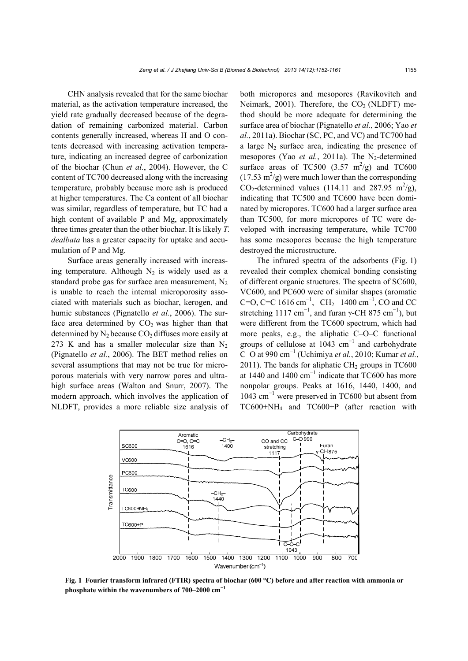CHN analysis revealed that for the same biochar material, as the activation temperature increased, the yield rate gradually decreased because of the degradation of remaining carbonized material. Carbon contents generally increased, whereas H and O contents decreased with increasing activation temperature, indicating an increased degree of carbonization of the biochar (Chun *et al.*, 2004). However, the C content of TC700 decreased along with the increasing temperature, probably because more ash is produced at higher temperatures. The Ca content of all biochar was similar, regardless of temperature, but TC had a high content of available P and Mg, approximately three times greater than the other biochar. It is likely *T. dealbata* has a greater capacity for uptake and accumulation of P and Mg.

Surface areas generally increased with increasing temperature. Although  $N_2$  is widely used as a standard probe gas for surface area measurement,  $N_2$ is unable to reach the internal microporosity associated with materials such as biochar, kerogen, and humic substances (Pignatello *et al.*, 2006). The surface area determined by  $CO<sub>2</sub>$  was higher than that determined by  $N_2$  because  $CO_2$  diffuses more easily at 273 K and has a smaller molecular size than  $N_2$ (Pignatello *et al.*, 2006). The BET method relies on several assumptions that may not be true for microporous materials with very narrow pores and ultrahigh surface areas (Walton and Snurr, 2007). The modern approach, which involves the application of NLDFT, provides a more reliable size analysis of both micropores and mesopores (Ravikovitch and Neimark, 2001). Therefore, the  $CO<sub>2</sub>$  (NLDFT) method should be more adequate for determining the surface area of biochar (Pignatello *et al.*, 2006; Yao *et al.*, 2011a). Biochar (SC, PC, and VC) and TC700 had a large  $N_2$  surface area, indicating the presence of mesopores (Yao et al., 2011a). The N<sub>2</sub>-determined surface areas of TC500  $(3.57 \text{ m}^2/\text{g})$  and TC600  $(17.53 \text{ m}^2/\text{g})$  were much lower than the corresponding  $CO_2$ -determined values (114.11 and 287.95 m<sup>2</sup>/g), indicating that TC500 and TC600 have been dominated by micropores. TC600 had a larger surface area than TC500, for more micropores of TC were developed with increasing temperature, while TC700 has some mesopores because the high temperature destroyed the microstructure.

The infrared spectra of the adsorbents (Fig. 1) revealed their complex chemical bonding consisting of different organic structures. The spectra of SC600, VC600, and PC600 were of similar shapes (aromatic C=O, C=C 1616 cm<sup>-1</sup>, -CH<sub>2</sub>-1400 cm<sup>-1</sup>, CO and CC stretching 1117 cm<sup>-1</sup>, and furan  $\gamma$ -CH 875 cm<sup>-1</sup>), but were different from the TC600 spectrum, which had more peaks, e.g., the aliphatic C–O–C functional groups of cellulose at 1043  $cm^{-1}$  and carbohydrate C–O at 990 cm<sup>−</sup><sup>1</sup> (Uchimiya *et al.*, 2010; Kumar *et al.*, 2011). The bands for aliphatic  $CH<sub>2</sub>$  groups in TC600 at 1440 and 1400  $cm^{-1}$  indicate that TC600 has more nonpolar groups. Peaks at 1616, 1440, 1400, and 1043 cm<sup>−</sup><sup>1</sup> were preserved in TC600 but absent from TC600+NH4 and TC600+P (after reaction with



**Fig. 1 Fourier transform infrared (FTIR) spectra of biochar (600 °C) before and after reaction with ammonia or**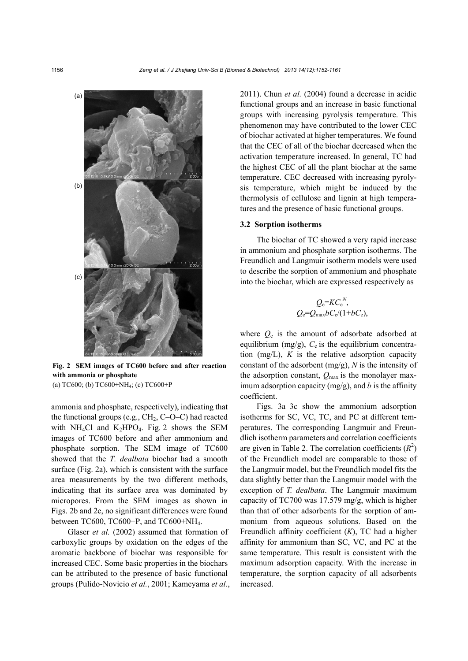

**Fig. 2 SEM images of TC600 before and after reaction with ammonia or phosphate**  (a) TC600; (b) TC600+NH4; (c) TC600+P

ammonia and phosphate, respectively), indicating that the functional groups (e.g.,  $CH<sub>2</sub>$ ,  $C-O-C$ ) had reacted with NH<sub>4</sub>Cl and K<sub>2</sub>HPO<sub>4</sub>. Fig. 2 shows the SEM images of TC600 before and after ammonium and phosphate sorption. The SEM image of TC600 showed that the *T. dealbata* biochar had a smooth surface (Fig. 2a), which is consistent with the surface area measurements by the two different methods, indicating that its surface area was dominated by micropores. From the SEM images as shown in Figs. 2b and 2c, no significant differences were found between TC600, TC600+P, and TC600+NH4.

Glaser *et al.* (2002) assumed that formation of carboxylic groups by oxidation on the edges of the aromatic backbone of biochar was responsible for increased CEC. Some basic properties in the biochars can be attributed to the presence of basic functional groups (Pulido-Novicio *et al.*, 2001; Kameyama *et al.*, 2011). Chun *et al.* (2004) found a decrease in acidic functional groups and an increase in basic functional groups with increasing pyrolysis temperature. This phenomenon may have contributed to the lower CEC of biochar activated at higher temperatures. We found that the CEC of all of the biochar decreased when the activation temperature increased. In general, TC had the highest CEC of all the plant biochar at the same temperature. CEC decreased with increasing pyrolysis temperature, which might be induced by the thermolysis of cellulose and lignin at high temperatures and the presence of basic functional groups.

#### **3.2 Sorption isotherms**

The biochar of TC showed a very rapid increase in ammonium and phosphate sorption isotherms. The Freundlich and Langmuir isotherm models were used to describe the sorption of ammonium and phosphate into the biochar, which are expressed respectively as

$$
Q_{\rm e} = KC_{\rm e}^N,
$$
  

$$
Q_{\rm e} = Q_{\rm max}bC_{\rm e}/(1+bC_{\rm e}),
$$

where  $Q_e$  is the amount of adsorbate adsorbed at equilibrium (mg/g),  $C_e$  is the equilibrium concentration (mg/L), *K* is the relative adsorption capacity constant of the adsorbent (mg/g), *N* is the intensity of the adsorption constant,  $Q_{\text{max}}$  is the monolayer maximum adsorption capacity  $(mg/g)$ , and *b* is the affinity coefficient.

Figs. 3a–3c show the ammonium adsorption isotherms for SC, VC, TC, and PC at different temperatures. The corresponding Langmuir and Freundlich isotherm parameters and correlation coefficients are given in Table 2. The correlation coefficients  $(R^2)$ of the Freundlich model are comparable to those of the Langmuir model, but the Freundlich model fits the data slightly better than the Langmuir model with the exception of *T. dealbata*. The Langmuir maximum capacity of TC700 was 17.579 mg/g, which is higher than that of other adsorbents for the sorption of ammonium from aqueous solutions. Based on the Freundlich affinity coefficient (*K*), TC had a higher affinity for ammonium than SC, VC, and PC at the same temperature. This result is consistent with the maximum adsorption capacity. With the increase in temperature, the sorption capacity of all adsorbents increased.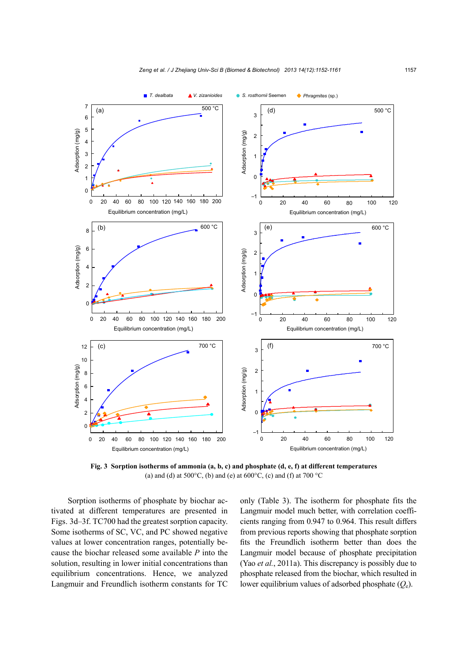

**Fig. 3 Sorption isotherms of ammonia (a, b, c) and phosphate (d, e, f) at different temperatures**  (a) and (d) at  $500^{\circ}$ C, (b) and (e) at  $600^{\circ}$ C, (c) and (f) at  $700^{\circ}$ C

Sorption isotherms of phosphate by biochar activated at different temperatures are presented in Figs. 3d–3f. TC700 had the greatest sorption capacity. Some isotherms of SC, VC, and PC showed negative values at lower concentration ranges, potentially because the biochar released some available *P* into the solution, resulting in lower initial concentrations than equilibrium concentrations. Hence, we analyzed Langmuir and Freundlich isotherm constants for TC only (Table 3). The isotherm for phosphate fits the Langmuir model much better, with correlation coefficients ranging from 0.947 to 0.964. This result differs from previous reports showing that phosphate sorption fits the Freundlich isotherm better than does the Langmuir model because of phosphate precipitation (Yao *et al.*, 2011a). This discrepancy is possibly due to phosphate released from the biochar, which resulted in lower equilibrium values of adsorbed phosphate (*Q*e).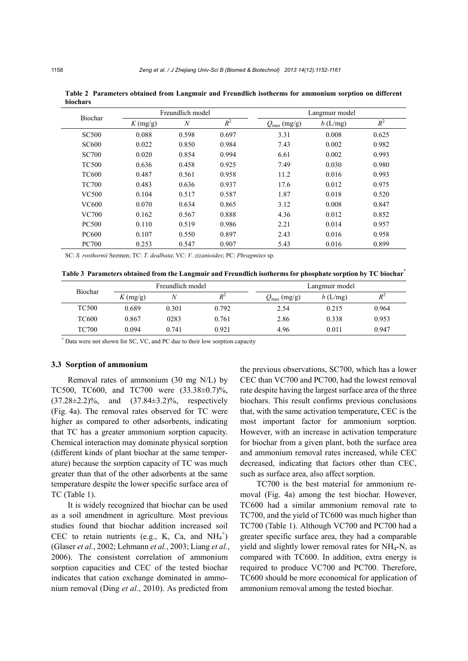|              |            | Freundlich model |       | Langmuir model          |            |       |  |  |
|--------------|------------|------------------|-------|-------------------------|------------|-------|--|--|
| Biochar      | $K$ (mg/g) | $\boldsymbol{N}$ | $R^2$ | $Q_{\text{max}}$ (mg/g) | $b$ (L/mg) | $R^2$ |  |  |
| <b>SC500</b> | 0.088      | 0.598            | 0.697 | 3.31                    | 0.008      | 0.625 |  |  |
| <b>SC600</b> | 0.022      | 0.850            | 0.984 | 7.43                    | 0.002      | 0.982 |  |  |
| <b>SC700</b> | 0.020      | 0.854            | 0.994 | 6.61                    | 0.002      | 0.993 |  |  |
| <b>TC500</b> | 0.636      | 0.458            | 0.925 | 7.49                    | 0.030      | 0.980 |  |  |
| <b>TC600</b> | 0.487      | 0.561            | 0.958 | 11.2                    | 0.016      | 0.993 |  |  |
| <b>TC700</b> | 0.483      | 0.636            | 0.937 | 17.6                    | 0.012      | 0.975 |  |  |
| <b>VC500</b> | 0.104      | 0.517            | 0.587 | 1.87                    | 0.018      | 0.520 |  |  |
| VC600        | 0.070      | 0.634            | 0.865 | 3.12                    | 0.008      | 0.847 |  |  |
| VC700        | 0.162      | 0.567            | 0.888 | 4.36                    | 0.012      | 0.852 |  |  |
| <b>PC500</b> | 0.110      | 0.519            | 0.986 | 2.21                    | 0.014      | 0.957 |  |  |
| <b>PC600</b> | 0.107      | 0.550            | 0.897 | 2.43                    | 0.016      | 0.958 |  |  |
| <b>PC700</b> | 0.253      | 0.547            | 0.907 | 5.43                    | 0.016      | 0.899 |  |  |

**Table 2 Parameters obtained from Langmuir and Freundlich isotherms for ammonium sorption on different biochars** 

SC: *S. rosthornii* Seemen; TC: *T. dealbata*; VC: *V. zizanioides*; PC: *Phragmites* sp.

**Table 3 Parameters obtained from the Langmuir and Freundlich isotherms for phosphate sorption by TC biochar\***

| Biochar      |                                 | Freundlich model |       | Langmuir model          |         |       |  |  |
|--------------|---------------------------------|------------------|-------|-------------------------|---------|-------|--|--|
|              | $K \left( \frac{mg}{g} \right)$ | N                | $R^2$ | $Q_{\text{max}}$ (mg/g) | b(L/mg) | $R^2$ |  |  |
| TC500        | 0.689                           | 0.301            | 0.792 | 2.54                    | 0.215   | 0.964 |  |  |
| TC600        | 0.867                           | 0283             | 0.761 | 2.86                    | 0.338   | 0.953 |  |  |
| <b>TC700</b> | 0.094                           | 0.741            | 0.921 | 4.96                    | 0.011   | 0.947 |  |  |
|              |                                 |                  |       |                         |         |       |  |  |

\* Data were not shown for SC, VC, and PC due to their low sorption capacity

#### **3.3 Sorption of ammonium**

Removal rates of ammonium (30 mg N/L) by TC500, TC600, and TC700 were (33.38±0.7)%, (37.28±2.2)%, and (37.84±3.2)%, respectively (Fig. 4a). The removal rates observed for TC were higher as compared to other adsorbents, indicating that TC has a greater ammonium sorption capacity. Chemical interaction may dominate physical sorption (different kinds of plant biochar at the same temperature) because the sorption capacity of TC was much greater than that of the other adsorbents at the same temperature despite the lower specific surface area of TC (Table 1).

It is widely recognized that biochar can be used as a soil amendment in agriculture. Most previous studies found that biochar addition increased soil CEC to retain nutrients (e.g., K, Ca, and  $NH_4$ <sup>+</sup>) (Glaser *et al.*, 2002; Lehmann *et al.*, 2003; Liang *et al.*, 2006). The consistent correlation of ammonium sorption capacities and CEC of the tested biochar indicates that cation exchange dominated in ammonium removal (Ding *et al.*, 2010). As predicted from

the previous observations, SC700, which has a lower CEC than VC700 and PC700, had the lowest removal rate despite having the largest surface area of the three biochars. This result confirms previous conclusions that, with the same activation temperature, CEC is the most important factor for ammonium sorption. However, with an increase in activation temperature for biochar from a given plant, both the surface area and ammonium removal rates increased, while CEC decreased, indicating that factors other than CEC, such as surface area, also affect sorption.

TC700 is the best material for ammonium removal (Fig. 4a) among the test biochar. However, TC600 had a similar ammonium removal rate to TC700, and the yield of TC600 was much higher than TC700 (Table 1). Although VC700 and PC700 had a greater specific surface area, they had a comparable yield and slightly lower removal rates for NH4-N, as compared with TC600. In addition, extra energy is required to produce VC700 and PC700. Therefore, TC600 should be more economical for application of ammonium removal among the tested biochar.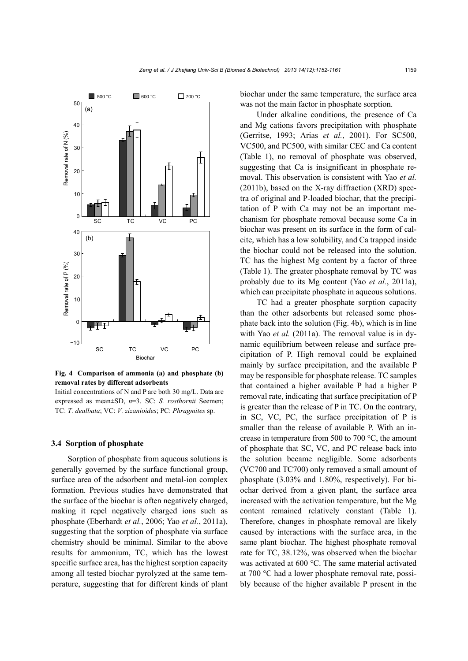

**Fig. 4 Comparison of ammonia (a) and phosphate (b) removal rates by different adsorbents** 

Initial concentrations of N and P are both 30 mg/L. Data are expressed as mean±SD, *n*=3. SC: *S. rosthornii* Seemen; TC: *T. dealbata*; VC: *V. zizanioides*; PC: *Phragmites* sp.

## **3.4 Sorption of phosphate**

Sorption of phosphate from aqueous solutions is generally governed by the surface functional group, surface area of the adsorbent and metal-ion complex formation. Previous studies have demonstrated that the surface of the biochar is often negatively charged, making it repel negatively charged ions such as phosphate (Eberhardt *et al.*, 2006; Yao *et al.*, 2011a), suggesting that the sorption of phosphate via surface chemistry should be minimal. Similar to the above results for ammonium, TC, which has the lowest specific surface area, has the highest sorption capacity among all tested biochar pyrolyzed at the same temperature, suggesting that for different kinds of plant biochar under the same temperature, the surface area was not the main factor in phosphate sorption.

Under alkaline conditions, the presence of Ca and Mg cations favors precipitation with phosphate (Gerritse, 1993; Arias *et al.*, 2001). For SC500, VC500, and PC500, with similar CEC and Ca content (Table 1), no removal of phosphate was observed, suggesting that Ca is insignificant in phosphate removal. This observation is consistent with Yao *et al.* (2011b), based on the X-ray diffraction (XRD) spectra of original and P-loaded biochar, that the precipitation of P with Ca may not be an important mechanism for phosphate removal because some Ca in biochar was present on its surface in the form of calcite, which has a low solubility, and Ca trapped inside the biochar could not be released into the solution. TC has the highest Mg content by a factor of three (Table 1). The greater phosphate removal by TC was probably due to its Mg content (Yao *et al.*, 2011a), which can precipitate phosphate in aqueous solutions.

TC had a greater phosphate sorption capacity than the other adsorbents but released some phosphate back into the solution (Fig. 4b), which is in line with Yao *et al.* (2011a). The removal value is in dynamic equilibrium between release and surface precipitation of P. High removal could be explained mainly by surface precipitation, and the available P may be responsible for phosphate release. TC samples that contained a higher available P had a higher P removal rate, indicating that surface precipitation of P is greater than the release of P in TC. On the contrary, in SC, VC, PC, the surface precipitation of P is smaller than the release of available P. With an increase in temperature from 500 to 700 °C, the amount of phosphate that SC, VC, and PC release back into the solution became negligible. Some adsorbents (VC700 and TC700) only removed a small amount of phosphate (3.03% and 1.80%, respectively). For biochar derived from a given plant, the surface area increased with the activation temperature, but the Mg content remained relatively constant (Table 1). Therefore, changes in phosphate removal are likely caused by interactions with the surface area, in the same plant biochar. The highest phosphate removal rate for TC, 38.12%, was observed when the biochar was activated at 600 °C. The same material activated at 700 °C had a lower phosphate removal rate, possibly because of the higher available P present in the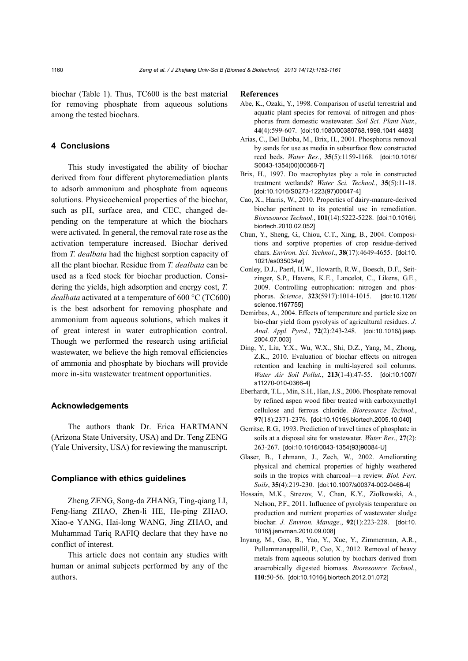biochar (Table 1). Thus, TC600 is the best material for removing phosphate from aqueous solutions among the tested biochars.

## **4 Conclusions**

This study investigated the ability of biochar derived from four different phytoremediation plants to adsorb ammonium and phosphate from aqueous solutions. Physicochemical properties of the biochar, such as pH, surface area, and CEC, changed depending on the temperature at which the biochars were activated. In general, the removal rate rose as the activation temperature increased. Biochar derived from *T. dealbata* had the highest sorption capacity of all the plant biochar. Residue from *T. dealbata* can be used as a feed stock for biochar production. Considering the yields, high adsorption and energy cost, *T. dealbata* activated at a temperature of 600 °C (TC600) is the best adsorbent for removing phosphate and ammonium from aqueous solutions, which makes it of great interest in water eutrophication control. Though we performed the research using artificial wastewater, we believe the high removal efficiencies of ammonia and phosphate by biochars will provide more in-situ wastewater treatment opportunities.

## **Acknowledgements**

The authors thank Dr. Erica HARTMANN (Arizona State University, USA) and Dr. Teng ZENG (Yale University, USA) for reviewing the manuscript.

#### **Compliance with ethics guidelines**

Zheng ZENG, Song-da ZHANG, Ting-qiang LI, Feng-liang ZHAO, Zhen-li HE, He-ping ZHAO, Xiao-e YANG, Hai-long WANG, Jing ZHAO, and Muhammad Tariq RAFIQ declare that they have no conflict of interest.

This article does not contain any studies with human or animal subjects performed by any of the authors.

#### **References**

- Abe, K., Ozaki, Y., 1998. Comparison of useful terrestrial and aquatic plant species for removal of nitrogen and phosphorus from domestic wastewater. *Soil Sci. Plant Nutr.*, **44**(4):599-607. [doi:10.1080/00380768.1998.1041 4483]
- Arias, C., Del Bubba, M., Brix, H., 2001. Phosphorus removal by sands for use as media in subsurface flow constructed reed beds. *Water Res.*, **35**(5):1159-1168. [doi:10.1016/ S0043-1354(00)00368-7]
- Brix, H., 1997. Do macrophytes play a role in constructed treatment wetlands? *Water Sci. Technol.*, **35**(5):11-18. [doi:10.1016/S0273-1223(97)00047-4]
- Cao, X., Harris, W., 2010. Properties of dairy-manure-derived biochar pertinent to its potential use in remediation. *Bioresource Technol*., **101**(14):5222-5228. [doi:10.1016/j. biortech.2010.02.052]
- Chun, Y., Sheng, G., Chiou, C.T., Xing, B., 2004. Compositions and sorptive properties of crop residue-derived chars. *Environ. Sci. Technol*., **38**(17):4649-4655. [doi:10. 1021/es035034w]
- Conley, D.J., Paerl, H.W., Howarth, R.W., Boesch, D.F., Seitzinger, S.P., Havens, K.E., Lancelot, C., Likens, G.E., 2009. Controlling eutrophication: nitrogen and phosphorus. *Science*, **323**(5917):1014-1015. [doi:10.1126/ science.1167755]
- Demirbas, A., 2004. Effects of temperature and particle size on bio-char yield from pyrolysis of agricultural residues. *J. Anal. Appl. Pyrol.*, **72**(2):243-248. [doi:10.1016/j.jaap. 2004.07.003]
- Ding, Y., Liu, Y.X., Wu, W.X., Shi, D.Z., Yang, M., Zhong, Z.K., 2010. Evaluation of biochar effects on nitrogen retention and leaching in multi-layered soil columns. *Water Air Soil Pollut.*, **213**(1-4):47-55. [doi:10.1007/ s11270-010-0366-4]
- Eberhardt, T.L., Min, S.H., Han, J.S., 2006. Phosphate removal by refined aspen wood fiber treated with carboxymethyl cellulose and ferrous chloride. *Bioresource Technol*., **97**(18):2371-2376. [doi:10.1016/j.biortech.2005.10.040]
- Gerritse, R.G., 1993. Prediction of travel times of phosphate in soils at a disposal site for wastewater. *Water Res*., **27**(2): 263-267. [doi:10.1016/0043-1354(93)90084-U]
- Glaser, B., Lehmann, J., Zech, W., 2002. Ameliorating physical and chemical properties of highly weathered soils in the tropics with charcoal—a review. *Biol. Fert. Soils*, **35**(4):219-230. [doi:10.1007/s00374-002-0466-4]
- Hossain, M.K., Strezov, V., Chan, K.Y., Ziolkowski, A., Nelson, P.F., 2011. Influence of pyrolysis temperature on production and nutrient properties of wastewater sludge biochar. *J. Environ. Manage*., **92**(1):223-228. [doi:10. 1016/j.jenvman.2010.09.008]
- Inyang, M., Gao, B., Yao, Y., Xue, Y., Zimmerman, A.R., Pullammanappallil, P., Cao, X., 2012. Removal of heavy metals from aqueous solution by biochars derived from anaerobically digested biomass. *Bioresource Technol.*, **110**:50-56. [doi:10.1016/j.biortech.2012.01.072]